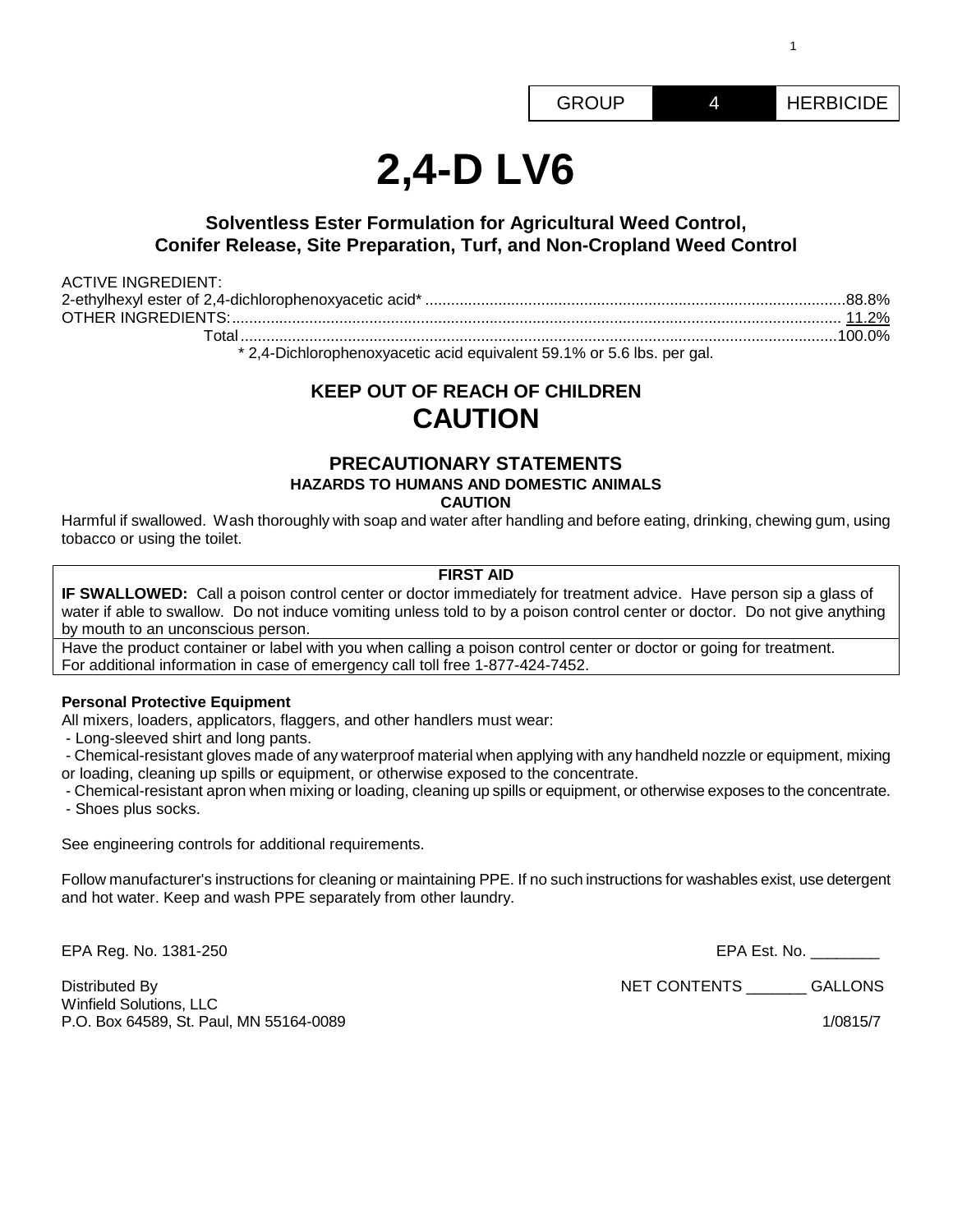1

# **2,4-D LV6**

## **Solventless Ester Formulation for Agricultural Weed Control, Conifer Release, Site Preparation, Turf, and Non-Cropland Weed Control**

| <b>ACTIVE INGREDIENT:</b> |  |
|---------------------------|--|
|                           |  |
|                           |  |
|                           |  |

\* 2,4-Dichlorophenoxyacetic acid equivalent 59.1% or 5.6 lbs. per gal.

# **KEEP OUT OF REACH OF CHILDREN CAUTION**

## **PRECAUTIONARY STATEMENTS HAZARDS TO HUMANS AND DOMESTIC ANIMALS CAUTION**

Harmful if swallowed. Wash thoroughly with soap and water after handling and before eating, drinking, chewing gum, using tobacco or using the toilet.

## **FIRST AID**

**IF SWALLOWED:** Call a poison control center or doctor immediately for treatment advice. Have person sip a glass of water if able to swallow. Do not induce vomiting unless told to by a poison control center or doctor. Do not give anything by mouth to an unconscious person.

Have the product container or label with you when calling a poison control center or doctor or going for treatment. For additional information in case of emergency call toll free 1-877-424-7452.

## **Personal Protective Equipment**

All mixers, loaders, applicators, flaggers, and other handlers must wear:

- Long-sleeved shirt and long pants.

- Chemical-resistant gloves made of any waterproof material when applying with any handheld nozzle or equipment, mixing or loading, cleaning up spills or equipment, or otherwise exposed to the concentrate.

- Chemical-resistant apron when mixing or loading, cleaning up spills or equipment, or otherwise exposes to the concentrate. - Shoes plus socks.

See engineering controls for additional requirements.

Follow manufacturer's instructions for cleaning or maintaining PPE. If no such instructions for washables exist, use detergent and hot water. Keep and wash PPE separately from other laundry.

EPA Reg. No. 1381-250 EPA Est. No. \_\_\_\_\_\_\_\_

Distributed By GALLONS Winfield Solutions, LLC P.O. Box 64589, St. Paul, MN 55164-0089 1/0815/7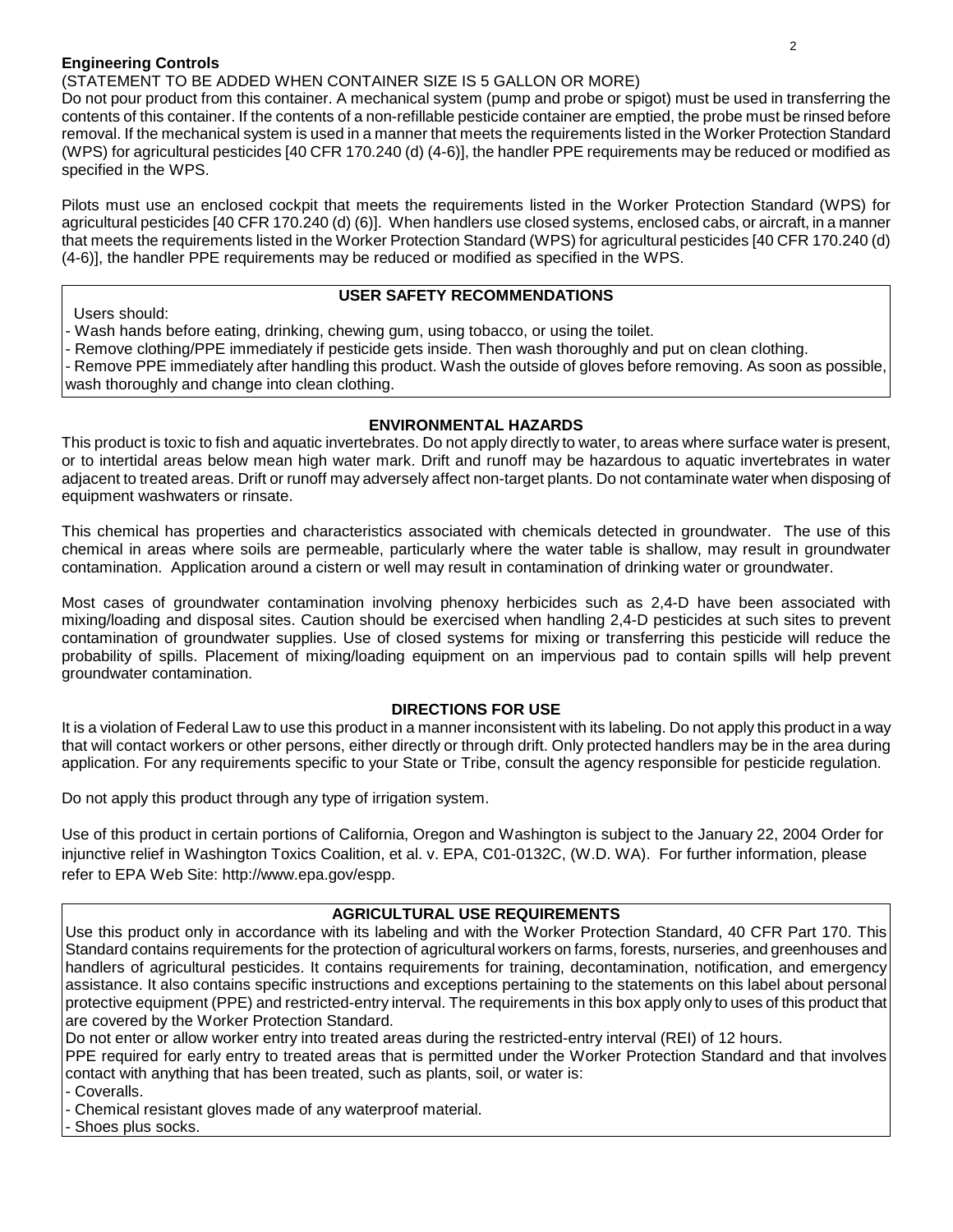## **Engineering Controls**

## (STATEMENT TO BE ADDED WHEN CONTAINER SIZE IS 5 GALLON OR MORE)

Do not pour product from this container. A mechanical system (pump and probe or spigot) must be used in transferring the contents of this container. If the contents of a non-refillable pesticide container are emptied, the probe must be rinsed before removal. If the mechanical system is used in a manner that meets the requirements listed in the Worker Protection Standard (WPS) for agricultural pesticides [40 CFR 170.240 (d) (4-6)], the handler PPE requirements may be reduced or modified as specified in the WPS.

Pilots must use an enclosed cockpit that meets the requirements listed in the Worker Protection Standard (WPS) for agricultural pesticides [40 CFR 170.240 (d) (6)]. When handlers use closed systems, enclosed cabs, or aircraft, in a manner that meets the requirements listed in the Worker Protection Standard (WPS) for agricultural pesticides [40 CFR 170.240 (d) (4-6)], the handler PPE requirements may be reduced or modified as specified in the WPS.

## **USER SAFETY RECOMMENDATIONS**

Users should:

Wash hands before eating, drinking, chewing gum, using tobacco, or using the toilet.

Remove clothing/PPE immediately if pesticide gets inside. Then wash thoroughly and put on clean clothing.

Remove PPE immediately after handling this product. Wash the outside of gloves before removing. As soon as possible, wash thoroughly and change into clean clothing.

## **ENVIRONMENTAL HAZARDS**

This product is toxic to fish and aquatic invertebrates. Do not apply directly to water, to areas where surface water is present, or to intertidal areas below mean high water mark. Drift and runoff may be hazardous to aquatic invertebrates in water adjacent to treated areas. Drift or runoff may adversely affect non-target plants. Do not contaminate water when disposing of equipment washwaters or rinsate.

This chemical has properties and characteristics associated with chemicals detected in groundwater. The use of this chemical in areas where soils are permeable, particularly where the water table is shallow, may result in groundwater contamination. Application around a cistern or well may result in contamination of drinking water or groundwater.

Most cases of groundwater contamination involving phenoxy herbicides such as 2,4-D have been associated with mixing/loading and disposal sites. Caution should be exercised when handling 2,4-D pesticides at such sites to prevent contamination of groundwater supplies. Use of closed systems for mixing or transferring this pesticide will reduce the probability of spills. Placement of mixing/loading equipment on an impervious pad to contain spills will help prevent groundwater contamination.

## **DIRECTIONS FOR USE**

It is a violation of Federal Law to use this product in a manner inconsistent with its labeling. Do not apply this product in a way that will contact workers or other persons, either directly or through drift. Only protected handlers may be in the area during application. For any requirements specific to your State or Tribe, consult the agency responsible for pesticide regulation.

Do not apply this product through any type of irrigation system.

Use of this product in certain portions of California, Oregon and Washington is subject to the January 22, 2004 Order for injunctive relief in Washington Toxics Coalition, et al. v. EPA, C01-0132C, (W.D. WA). For further information, please refer to EPA Web Site: http://www.epa.gov/espp.

## **AGRICULTURAL USE REQUIREMENTS**

Use this product only in accordance with its labeling and with the Worker Protection Standard, 40 CFR Part 170. This Standard contains requirements for the protection of agricultural workers on farms, forests, nurseries, and greenhouses and handlers of agricultural pesticides. It contains requirements for training, decontamination, notification, and emergency assistance. It also contains specific instructions and exceptions pertaining to the statements on this label about personal protective equipment (PPE) and restricted-entry interval. The requirements in this box apply only to uses of this product that are covered by the Worker Protection Standard.

Do not enter or allow worker entry into treated areas during the restricted-entry interval (REI) of 12 hours.

PPE required for early entry to treated areas that is permitted under the Worker Protection Standard and that involves contact with anything that has been treated, such as plants, soil, or water is:

- Coveralls.

- Chemical resistant gloves made of any waterproof material.

Shoes plus socks.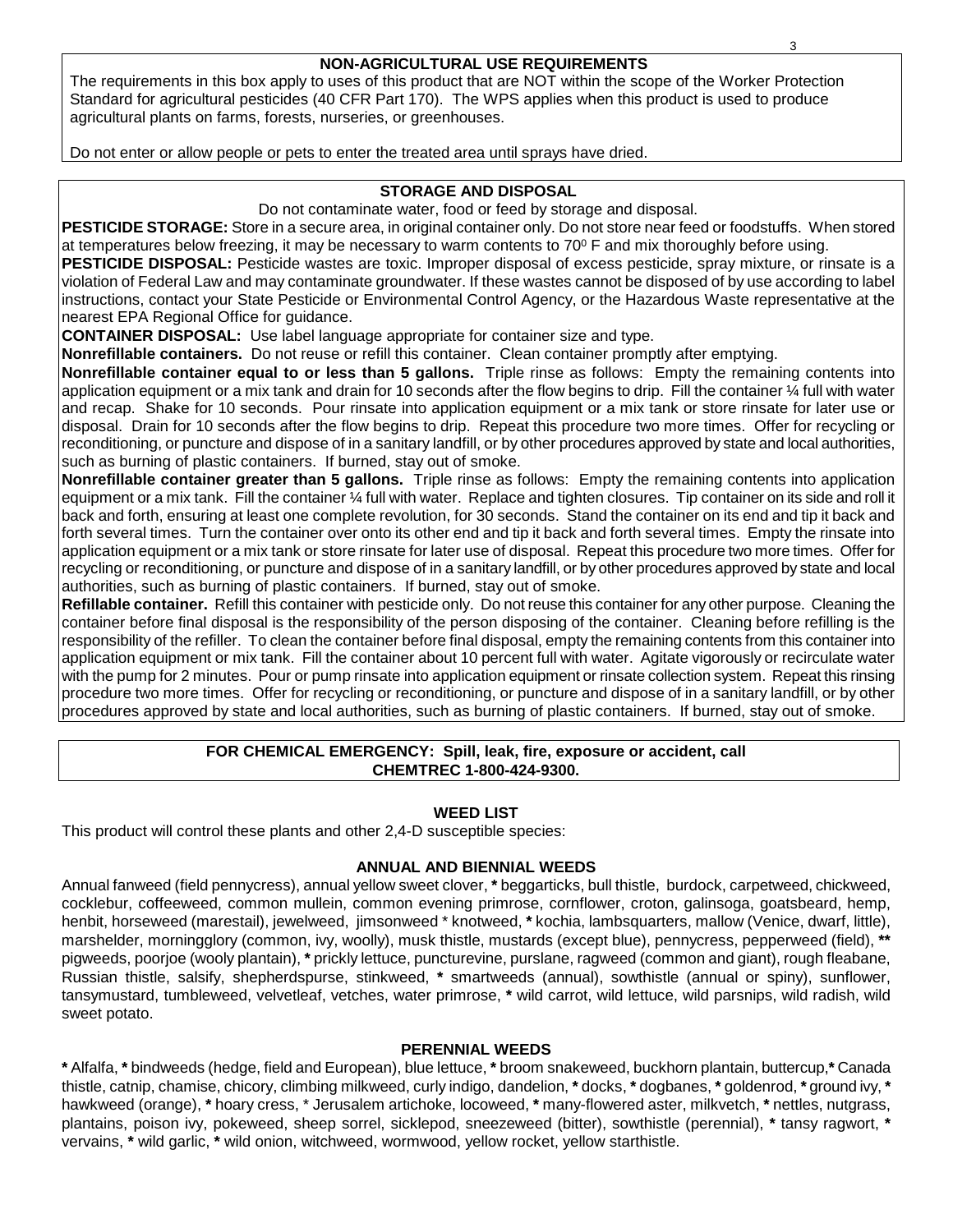## **NON-AGRICULTURAL USE REQUIREMENTS**

The requirements in this box apply to uses of this product that are NOT within the scope of the Worker Protection Standard for agricultural pesticides (40 CFR Part 170). The WPS applies when this product is used to produce agricultural plants on farms, forests, nurseries, or greenhouses.

Do not enter or allow people or pets to enter the treated area until sprays have dried.

## **STORAGE AND DISPOSAL**

Do not contaminate water, food or feed by storage and disposal.

**PESTICIDE STORAGE:** Store in a secure area, in original container only. Do not store near feed or foodstuffs. When stored at temperatures below freezing, it may be necessary to warm contents to 70 $\degree$  F and mix thoroughly before using.

**PESTICIDE DISPOSAL:** Pesticide wastes are toxic. Improper disposal of excess pesticide, spray mixture, or rinsate is a violation of Federal Law and may contaminate groundwater. If these wastes cannot be disposed of by use according to label instructions, contact your State Pesticide or Environmental Control Agency, or the Hazardous Waste representative at the nearest EPA Regional Office for guidance.

**CONTAINER DISPOSAL:** Use label language appropriate for container size and type.

**Nonrefillable containers.** Do not reuse or refill this container. Clean container promptly after emptying.

**Nonrefillable container equal to or less than 5 gallons.** Triple rinse as follows: Empty the remaining contents into application equipment or a mix tank and drain for 10 seconds after the flow begins to drip. Fill the container ¼ full with water and recap. Shake for 10 seconds. Pour rinsate into application equipment or a mix tank or store rinsate for later use or disposal. Drain for 10 seconds after the flow begins to drip. Repeat this procedure two more times. Offer for recycling or reconditioning, or puncture and dispose of in a sanitary landfill, or by other procedures approved by state and local authorities, such as burning of plastic containers. If burned, stay out of smoke.

**Nonrefillable container greater than 5 gallons.** Triple rinse as follows: Empty the remaining contents into application equipment or a mix tank. Fill the container ¼ full with water. Replace and tighten closures. Tip container on its side and roll it back and forth, ensuring at least one complete revolution, for 30 seconds. Stand the container on its end and tip it back and forth several times. Turn the container over onto its other end and tip it back and forth several times. Empty the rinsate into application equipment or a mix tank or store rinsate for later use of disposal. Repeat this procedure two more times. Offer for recycling or reconditioning, or puncture and dispose of in a sanitary landfill, or by other procedures approved by state and local authorities, such as burning of plastic containers. If burned, stay out of smoke.

**Refillable container.** Refill this container with pesticide only. Do not reuse this container for any other purpose. Cleaning the container before final disposal is the responsibility of the person disposing of the container. Cleaning before refilling is the responsibility of the refiller. To clean the container before final disposal, empty the remaining contents from this container into application equipment or mix tank. Fill the container about 10 percent full with water. Agitate vigorously or recirculate water with the pump for 2 minutes. Pour or pump rinsate into application equipment or rinsate collection system. Repeat this rinsing procedure two more times. Offer for recycling or reconditioning, or puncture and dispose of in a sanitary landfill, or by other procedures approved by state and local authorities, such as burning of plastic containers. If burned, stay out of smoke.

## **FOR CHEMICAL EMERGENCY: Spill, leak, fire, exposure or accident, call CHEMTREC 1-800-424-9300.**

## **WEED LIST**

This product will control these plants and other 2,4-D susceptible species:

## **ANNUAL AND BIENNIAL WEEDS**

Annual fanweed (field pennycress), annual yellow sweet clover, **\*** beggarticks, bull thistle, burdock, carpetweed, chickweed, cocklebur, coffeeweed, common mullein, common evening primrose, cornflower, croton, galinsoga, goatsbeard, hemp, henbit, horseweed (marestail), jewelweed, jimsonweed \* knotweed, **\*** kochia, lambsquarters, mallow (Venice, dwarf, little), marshelder, morningglory (common, ivy, woolly), musk thistle, mustards (except blue), pennycress, pepperweed (field), **\*\***  pigweeds, poorjoe (wooly plantain), **\*** prickly lettuce, puncturevine, purslane, ragweed (common and giant), rough fleabane, Russian thistle, salsify, shepherdspurse, stinkweed, **\*** smartweeds (annual), sowthistle (annual or spiny), sunflower, tansymustard, tumbleweed, velvetleaf, vetches, water primrose, **\*** wild carrot, wild lettuce, wild parsnips, wild radish, wild sweet potato.

## **PERENNIAL WEEDS**

**\*** Alfalfa, **\*** bindweeds (hedge, field and European), blue lettuce, **\*** broom snakeweed, buckhorn plantain, buttercup,**\*** Canada thistle, catnip, chamise, chicory, climbing milkweed, curly indigo, dandelion, **\*** docks, **\*** dogbanes, **\*** goldenrod, **\*** ground ivy, **\*** hawkweed (orange), **\*** hoary cress, \* Jerusalem artichoke, locoweed, **\*** many-flowered aster, milkvetch, **\*** nettles, nutgrass, plantains, poison ivy, pokeweed, sheep sorrel, sicklepod, sneezeweed (bitter), sowthistle (perennial), **\*** tansy ragwort, **\*** vervains, **\*** wild garlic, **\*** wild onion, witchweed, wormwood, yellow rocket, yellow starthistle.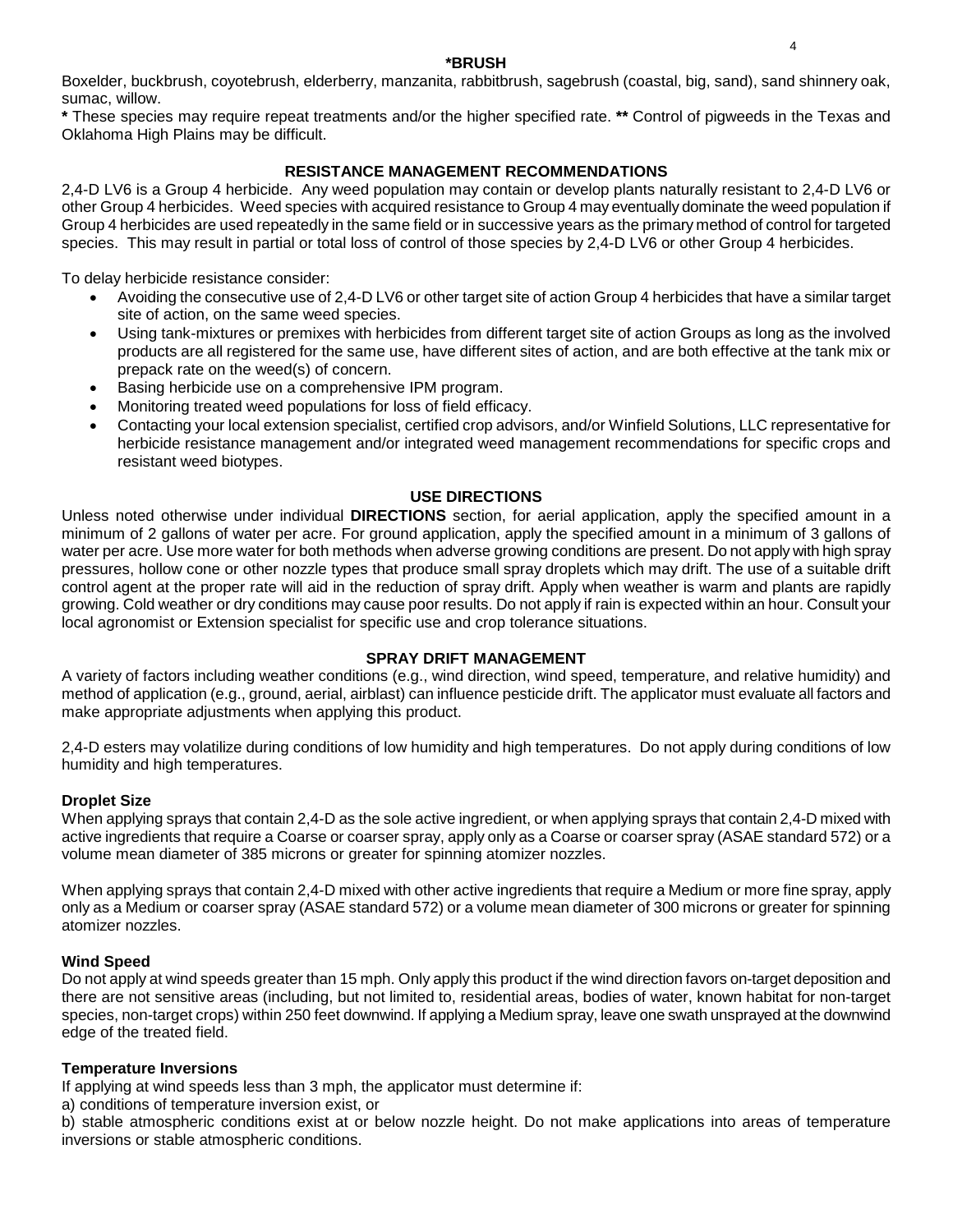#### **\*BRUSH**

Boxelder, buckbrush, coyotebrush, elderberry, manzanita, rabbitbrush, sagebrush (coastal, big, sand), sand shinnery oak, sumac, willow.

**\*** These species may require repeat treatments and/or the higher specified rate. **\*\*** Control of pigweeds in the Texas and Oklahoma High Plains may be difficult.

## **RESISTANCE MANAGEMENT RECOMMENDATIONS**

2,4-D LV6 is a Group 4 herbicide. Any weed population may contain or develop plants naturally resistant to 2,4-D LV6 or other Group 4 herbicides. Weed species with acquired resistance to Group 4 may eventually dominate the weed population if Group 4 herbicides are used repeatedly in the same field or in successive years as the primary method of control for targeted species. This may result in partial or total loss of control of those species by 2,4-D LV6 or other Group 4 herbicides.

To delay herbicide resistance consider:

- Avoiding the consecutive use of 2,4-D LV6 or other target site of action Group 4 herbicides that have a similar target site of action, on the same weed species.
- Using tank-mixtures or premixes with herbicides from different target site of action Groups as long as the involved products are all registered for the same use, have different sites of action, and are both effective at the tank mix or prepack rate on the weed(s) of concern.
- Basing herbicide use on a comprehensive IPM program.
- Monitoring treated weed populations for loss of field efficacy.
- Contacting your local extension specialist, certified crop advisors, and/or Winfield Solutions, LLC representative for herbicide resistance management and/or integrated weed management recommendations for specific crops and resistant weed biotypes.

#### **USE DIRECTIONS**

Unless noted otherwise under individual **DIRECTIONS** section, for aerial application, apply the specified amount in a minimum of 2 gallons of water per acre. For ground application, apply the specified amount in a minimum of 3 gallons of water per acre. Use more water for both methods when adverse growing conditions are present. Do not apply with high spray pressures, hollow cone or other nozzle types that produce small spray droplets which may drift. The use of a suitable drift control agent at the proper rate will aid in the reduction of spray drift. Apply when weather is warm and plants are rapidly growing. Cold weather or dry conditions may cause poor results. Do not apply if rain is expected within an hour. Consult your local agronomist or Extension specialist for specific use and crop tolerance situations.

#### **SPRAY DRIFT MANAGEMENT**

A variety of factors including weather conditions (e.g., wind direction, wind speed, temperature, and relative humidity) and method of application (e.g., ground, aerial, airblast) can influence pesticide drift. The applicator must evaluate all factors and make appropriate adjustments when applying this product.

2,4-D esters may volatilize during conditions of low humidity and high temperatures. Do not apply during conditions of low humidity and high temperatures.

#### **Droplet Size**

When applying sprays that contain 2,4-D as the sole active ingredient, or when applying sprays that contain 2,4-D mixed with active ingredients that require a Coarse or coarser spray, apply only as a Coarse or coarser spray (ASAE standard 572) or a volume mean diameter of 385 microns or greater for spinning atomizer nozzles.

When applying sprays that contain 2,4-D mixed with other active ingredients that require a Medium or more fine spray, apply only as a Medium or coarser spray (ASAE standard 572) or a volume mean diameter of 300 microns or greater for spinning atomizer nozzles.

#### **Wind Speed**

Do not apply at wind speeds greater than 15 mph. Only apply this product if the wind direction favors on-target deposition and there are not sensitive areas (including, but not limited to, residential areas, bodies of water, known habitat for non-target species, non-target crops) within 250 feet downwind. If applying a Medium spray, leave one swath unsprayed at the downwind edge of the treated field.

#### **Temperature Inversions**

If applying at wind speeds less than 3 mph, the applicator must determine if:

a) conditions of temperature inversion exist, or

b) stable atmospheric conditions exist at or below nozzle height. Do not make applications into areas of temperature inversions or stable atmospheric conditions.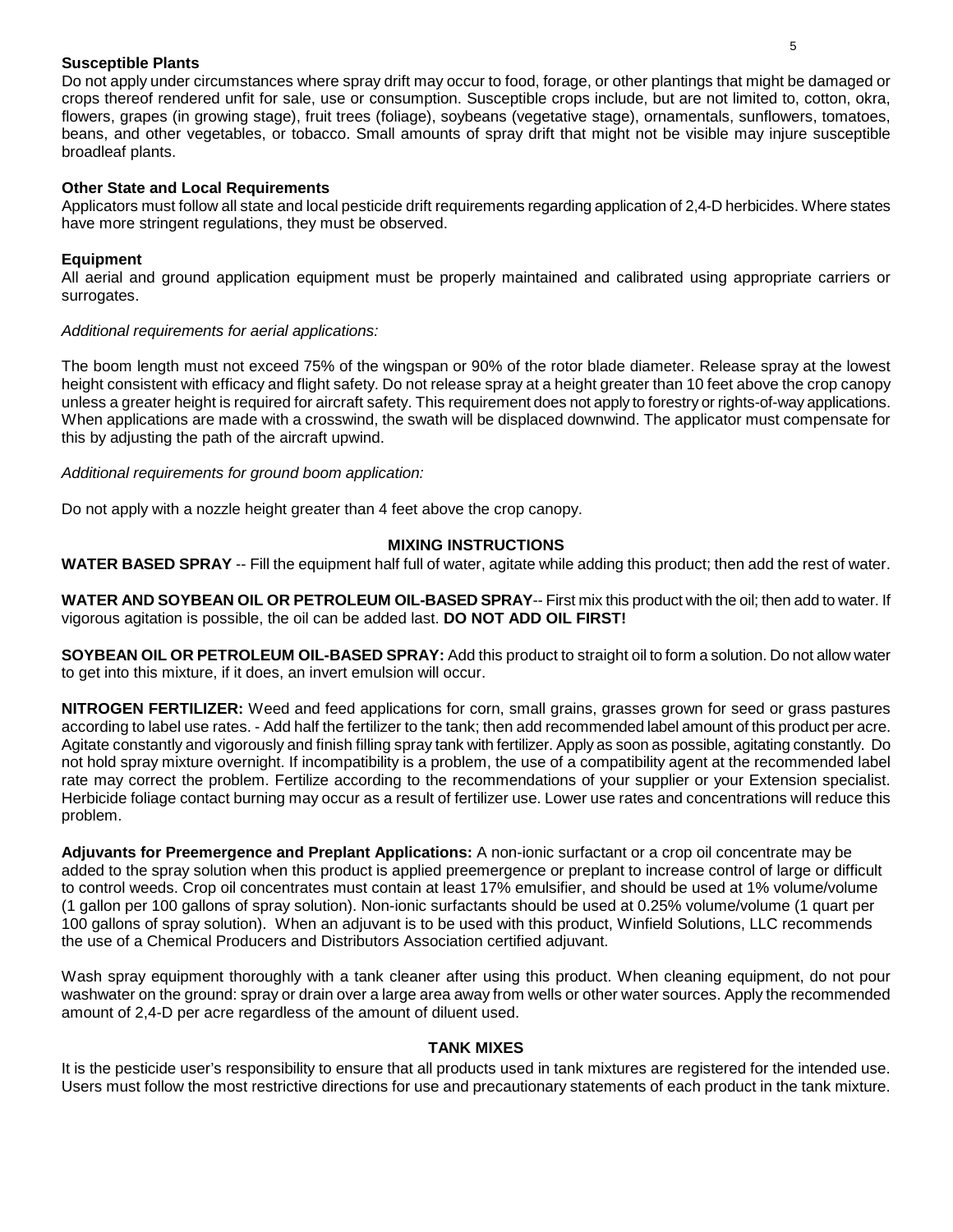## **Susceptible Plants**

Do not apply under circumstances where spray drift may occur to food, forage, or other plantings that might be damaged or crops thereof rendered unfit for sale, use or consumption. Susceptible crops include, but are not limited to, cotton, okra, flowers, grapes (in growing stage), fruit trees (foliage), soybeans (vegetative stage), ornamentals, sunflowers, tomatoes, beans, and other vegetables, or tobacco. Small amounts of spray drift that might not be visible may injure susceptible broadleaf plants.

## **Other State and Local Requirements**

Applicators must follow all state and local pesticide drift requirements regarding application of 2,4-D herbicides. Where states have more stringent regulations, they must be observed.

## **Equipment**

All aerial and ground application equipment must be properly maintained and calibrated using appropriate carriers or surrogates.

## *Additional requirements for aerial applications:*

The boom length must not exceed 75% of the wingspan or 90% of the rotor blade diameter. Release spray at the lowest height consistent with efficacy and flight safety. Do not release spray at a height greater than 10 feet above the crop canopy unless a greater height is required for aircraft safety. This requirement does not apply to forestry or rights-of-way applications. When applications are made with a crosswind, the swath will be displaced downwind. The applicator must compensate for this by adjusting the path of the aircraft upwind.

*Additional requirements for ground boom application:*

Do not apply with a nozzle height greater than 4 feet above the crop canopy.

## **MIXING INSTRUCTIONS**

**WATER BASED SPRAY** -- Fill the equipment half full of water, agitate while adding this product; then add the rest of water.

**WATER AND SOYBEAN OIL OR PETROLEUM OIL-BASED SPRAY**-- First mix this product with the oil; then add to water. If vigorous agitation is possible, the oil can be added last. **DO NOT ADD OIL FIRST!**

**SOYBEAN OIL OR PETROLEUM OIL-BASED SPRAY:** Add this product to straight oil to form a solution. Do not allow water to get into this mixture, if it does, an invert emulsion will occur.

**NITROGEN FERTILIZER:** Weed and feed applications for corn, small grains, grasses grown for seed or grass pastures according to label use rates. - Add half the fertilizer to the tank; then add recommended label amount of this product per acre. Agitate constantly and vigorously and finish filling spray tank with fertilizer. Apply as soon as possible, agitating constantly. Do not hold spray mixture overnight. If incompatibility is a problem, the use of a compatibility agent at the recommended label rate may correct the problem. Fertilize according to the recommendations of your supplier or your Extension specialist. Herbicide foliage contact burning may occur as a result of fertilizer use. Lower use rates and concentrations will reduce this problem.

**Adjuvants for Preemergence and Preplant Applications:** A non-ionic surfactant or a crop oil concentrate may be added to the spray solution when this product is applied preemergence or preplant to increase control of large or difficult to control weeds. Crop oil concentrates must contain at least 17% emulsifier, and should be used at 1% volume/volume (1 gallon per 100 gallons of spray solution). Non-ionic surfactants should be used at 0.25% volume/volume (1 quart per 100 gallons of spray solution). When an adjuvant is to be used with this product, Winfield Solutions, LLC recommends the use of a Chemical Producers and Distributors Association certified adjuvant.

Wash spray equipment thoroughly with a tank cleaner after using this product. When cleaning equipment, do not pour washwater on the ground: spray or drain over a large area away from wells or other water sources. Apply the recommended amount of 2,4-D per acre regardless of the amount of diluent used.

## **TANK MIXES**

It is the pesticide user's responsibility to ensure that all products used in tank mixtures are registered for the intended use. Users must follow the most restrictive directions for use and precautionary statements of each product in the tank mixture.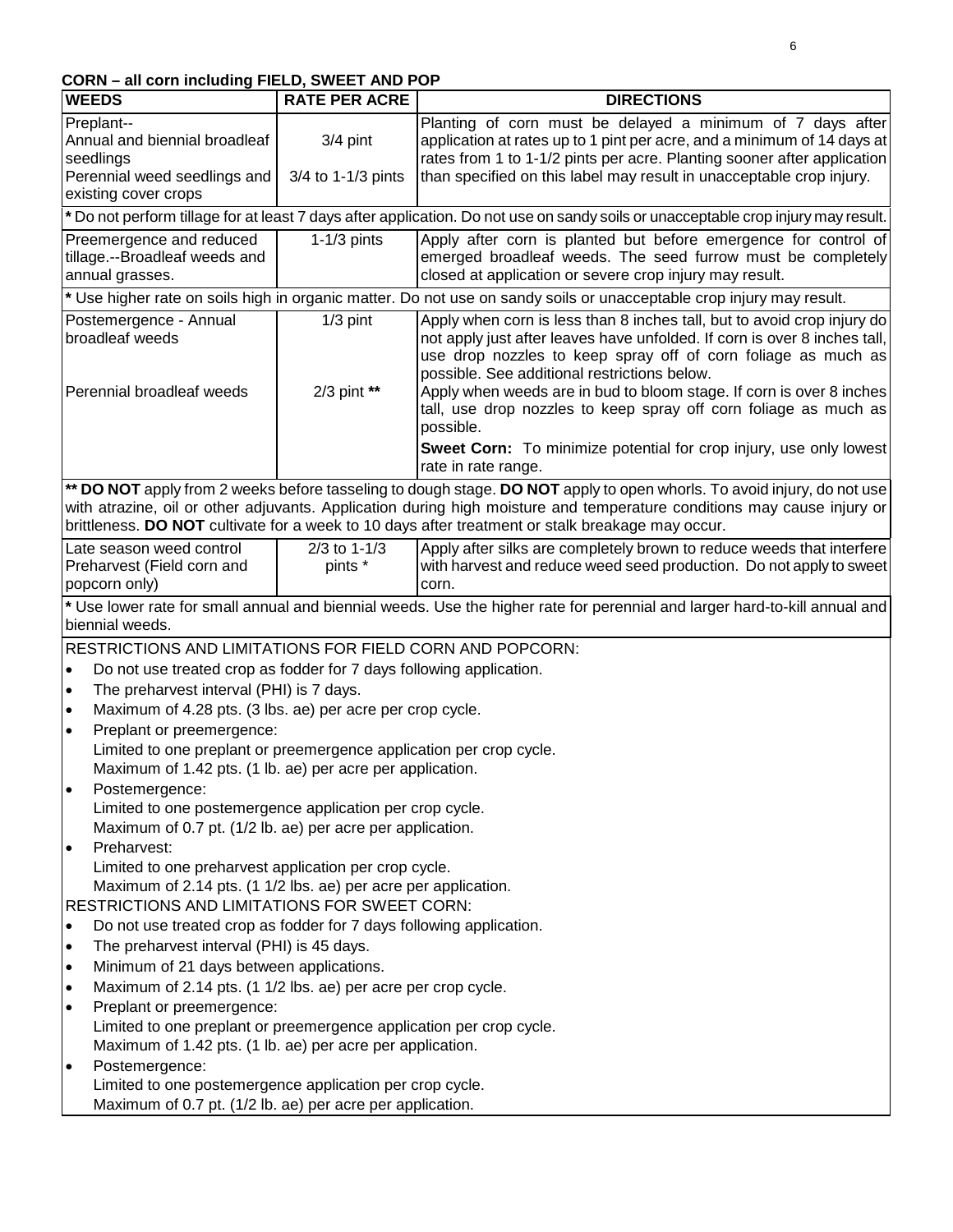# **CORN – all corn including FIELD, SWEET AND POP**

| <b>WEEDS</b>                                                                                                     | <b>RATE PER ACRE</b>                                                                                                             | <b>DIRECTIONS</b>                                                                                                                                                                                                                                                                                                                                                                                                                                                                                                           |  |
|------------------------------------------------------------------------------------------------------------------|----------------------------------------------------------------------------------------------------------------------------------|-----------------------------------------------------------------------------------------------------------------------------------------------------------------------------------------------------------------------------------------------------------------------------------------------------------------------------------------------------------------------------------------------------------------------------------------------------------------------------------------------------------------------------|--|
| Preplant--<br>Annual and biennial broadleaf<br>seedlings<br>Perennial weed seedlings and<br>existing cover crops | $3/4$ pint<br>3/4 to 1-1/3 pints                                                                                                 | Planting of corn must be delayed a minimum of 7 days after<br>application at rates up to 1 pint per acre, and a minimum of 14 days at<br>rates from 1 to 1-1/2 pints per acre. Planting sooner after application<br>than specified on this label may result in unacceptable crop injury.                                                                                                                                                                                                                                    |  |
|                                                                                                                  |                                                                                                                                  | * Do not perform tillage for at least 7 days after application. Do not use on sandy soils or unacceptable crop injury may result.                                                                                                                                                                                                                                                                                                                                                                                           |  |
| Preemergence and reduced<br>tillage.--Broadleaf weeds and<br>annual grasses.                                     | $1-1/3$ pints                                                                                                                    | Apply after corn is planted but before emergence for control of<br>emerged broadleaf weeds. The seed furrow must be completely<br>closed at application or severe crop injury may result.                                                                                                                                                                                                                                                                                                                                   |  |
|                                                                                                                  |                                                                                                                                  | * Use higher rate on soils high in organic matter. Do not use on sandy soils or unacceptable crop injury may result.                                                                                                                                                                                                                                                                                                                                                                                                        |  |
| Postemergence - Annual<br>broadleaf weeds<br>Perennial broadleaf weeds                                           | $1/3$ pint<br>2/3 pint **                                                                                                        | Apply when corn is less than 8 inches tall, but to avoid crop injury do<br>not apply just after leaves have unfolded. If corn is over 8 inches tall,<br>use drop nozzles to keep spray off of corn foliage as much as<br>possible. See additional restrictions below.<br>Apply when weeds are in bud to bloom stage. If corn is over 8 inches<br>tall, use drop nozzles to keep spray off corn foliage as much as<br>possible.<br>Sweet Corn: To minimize potential for crop injury, use only lowest<br>rate in rate range. |  |
|                                                                                                                  |                                                                                                                                  | ** DO NOT apply from 2 weeks before tasseling to dough stage. DO NOT apply to open whorls. To avoid injury, do not use<br>with atrazine, oil or other adjuvants. Application during high moisture and temperature conditions may cause injury or<br>brittleness. DO NOT cultivate for a week to 10 days after treatment or stalk breakage may occur.                                                                                                                                                                        |  |
| Late season weed control<br>Preharvest (Field corn and<br>popcorn only)                                          | $2/3$ to 1-1/3<br>pints *                                                                                                        | Apply after silks are completely brown to reduce weeds that interfere<br>with harvest and reduce weed seed production. Do not apply to sweet<br>corn.                                                                                                                                                                                                                                                                                                                                                                       |  |
| biennial weeds.                                                                                                  |                                                                                                                                  | * Use lower rate for small annual and biennial weeds. Use the higher rate for perennial and larger hard-to-kill annual and                                                                                                                                                                                                                                                                                                                                                                                                  |  |
| RESTRICTIONS AND LIMITATIONS FOR FIELD CORN AND POPCORN:                                                         |                                                                                                                                  |                                                                                                                                                                                                                                                                                                                                                                                                                                                                                                                             |  |
| Do not use treated crop as fodder for 7 days following application.<br>$\bullet$                                 |                                                                                                                                  |                                                                                                                                                                                                                                                                                                                                                                                                                                                                                                                             |  |
| The preharvest interval (PHI) is 7 days.<br>$\bullet$                                                            |                                                                                                                                  |                                                                                                                                                                                                                                                                                                                                                                                                                                                                                                                             |  |
| Maximum of 4.28 pts. (3 lbs. ae) per acre per crop cycle.<br>$\bullet$                                           |                                                                                                                                  |                                                                                                                                                                                                                                                                                                                                                                                                                                                                                                                             |  |
| Preplant or preemergence:<br>$\bullet$                                                                           |                                                                                                                                  |                                                                                                                                                                                                                                                                                                                                                                                                                                                                                                                             |  |
|                                                                                                                  | Limited to one preplant or preemergence application per crop cycle.<br>Maximum of 1.42 pts. (1 lb. ae) per acre per application. |                                                                                                                                                                                                                                                                                                                                                                                                                                                                                                                             |  |
|                                                                                                                  |                                                                                                                                  |                                                                                                                                                                                                                                                                                                                                                                                                                                                                                                                             |  |
| Postemergence:<br>Limited to one postemergence application per crop cycle.                                       |                                                                                                                                  |                                                                                                                                                                                                                                                                                                                                                                                                                                                                                                                             |  |
| Maximum of 0.7 pt. (1/2 lb. ae) per acre per application.                                                        |                                                                                                                                  |                                                                                                                                                                                                                                                                                                                                                                                                                                                                                                                             |  |
| Preharvest:<br>$\bullet$                                                                                         |                                                                                                                                  |                                                                                                                                                                                                                                                                                                                                                                                                                                                                                                                             |  |
| Limited to one preharvest application per crop cycle.                                                            |                                                                                                                                  |                                                                                                                                                                                                                                                                                                                                                                                                                                                                                                                             |  |
| Maximum of 2.14 pts. (1 1/2 lbs. ae) per acre per application.                                                   |                                                                                                                                  |                                                                                                                                                                                                                                                                                                                                                                                                                                                                                                                             |  |
| RESTRICTIONS AND LIMITATIONS FOR SWEET CORN:                                                                     |                                                                                                                                  |                                                                                                                                                                                                                                                                                                                                                                                                                                                                                                                             |  |
| Do not use treated crop as fodder for 7 days following application.<br>$\bullet$                                 |                                                                                                                                  |                                                                                                                                                                                                                                                                                                                                                                                                                                                                                                                             |  |
| The preharvest interval (PHI) is 45 days.<br>$\bullet$                                                           |                                                                                                                                  |                                                                                                                                                                                                                                                                                                                                                                                                                                                                                                                             |  |
| Minimum of 21 days between applications.<br>$\bullet$                                                            |                                                                                                                                  |                                                                                                                                                                                                                                                                                                                                                                                                                                                                                                                             |  |
| Maximum of 2.14 pts. (1 1/2 lbs. ae) per acre per crop cycle.<br>$\bullet$                                       |                                                                                                                                  |                                                                                                                                                                                                                                                                                                                                                                                                                                                                                                                             |  |
| $\bullet$                                                                                                        | Preplant or preemergence:                                                                                                        |                                                                                                                                                                                                                                                                                                                                                                                                                                                                                                                             |  |
|                                                                                                                  | Limited to one preplant or preemergence application per crop cycle.                                                              |                                                                                                                                                                                                                                                                                                                                                                                                                                                                                                                             |  |
|                                                                                                                  | Maximum of 1.42 pts. (1 lb. ae) per acre per application.                                                                        |                                                                                                                                                                                                                                                                                                                                                                                                                                                                                                                             |  |
| Postemergence:<br>$\bullet$                                                                                      |                                                                                                                                  |                                                                                                                                                                                                                                                                                                                                                                                                                                                                                                                             |  |
|                                                                                                                  | Limited to one postemergence application per crop cycle.<br>Maximum of 0.7 pt. (1/2 lb. ae) per acre per application.            |                                                                                                                                                                                                                                                                                                                                                                                                                                                                                                                             |  |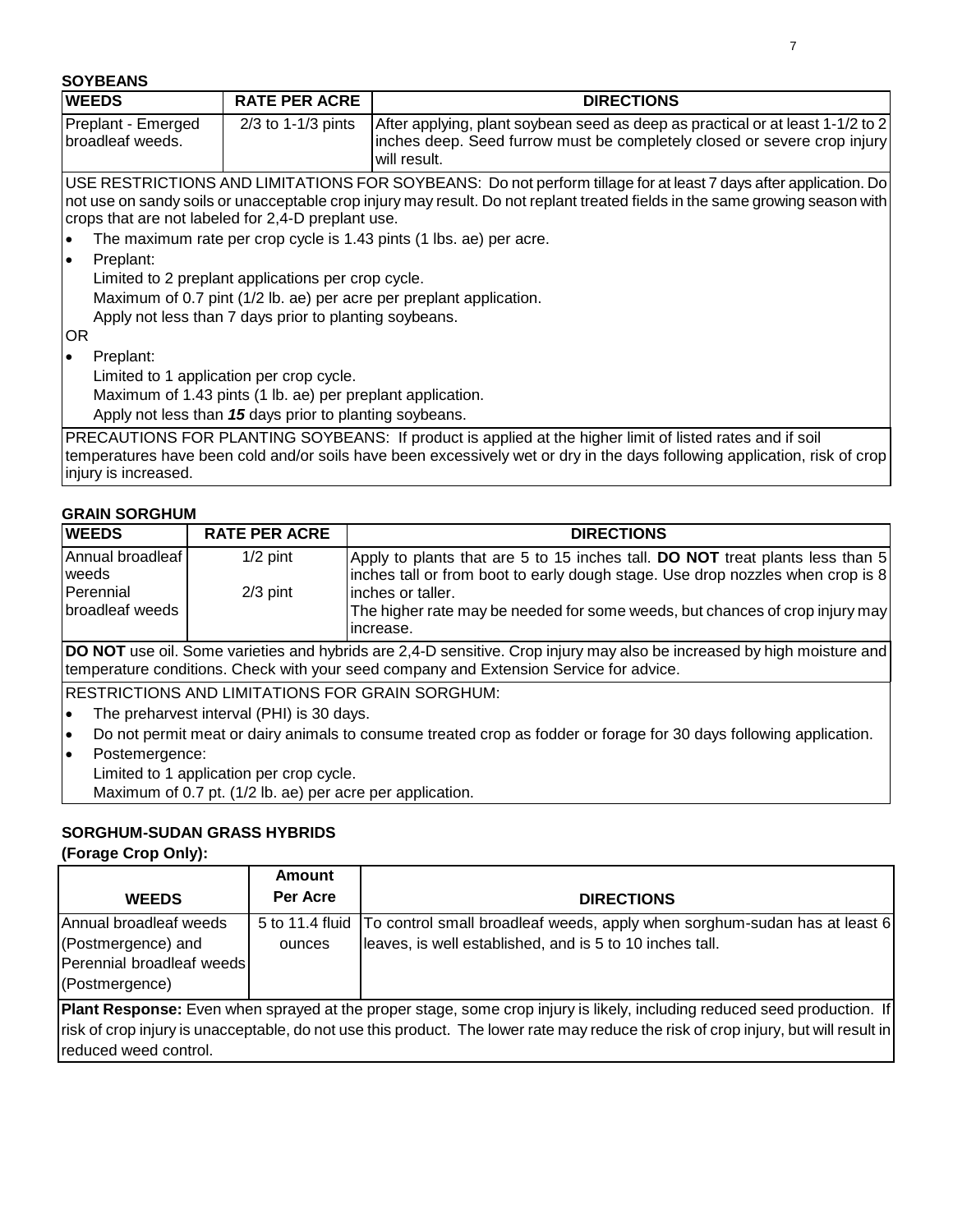| <b>WEEDS</b>                                       | <b>RATE PER ACRE</b>                                       | <b>DIRECTIONS</b>                                                                                                                                                                                                                     |
|----------------------------------------------------|------------------------------------------------------------|---------------------------------------------------------------------------------------------------------------------------------------------------------------------------------------------------------------------------------------|
| Preplant - Emerged<br>broadleaf weeds.             | $2/3$ to 1-1/3 pints                                       | After applying, plant soybean seed as deep as practical or at least 1-1/2 to 2<br>inches deep. Seed furrow must be completely closed or severe crop injury<br>will result.                                                            |
|                                                    |                                                            | USE RESTRICTIONS AND LIMITATIONS FOR SOYBEANS: Do not perform tillage for at least 7 days after application. Do                                                                                                                       |
|                                                    |                                                            | not use on sandy soils or unacceptable crop injury may result. Do not replant treated fields in the same growing season with                                                                                                          |
| crops that are not labeled for 2,4-D preplant use. |                                                            |                                                                                                                                                                                                                                       |
|                                                    |                                                            | The maximum rate per crop cycle is 1.43 pints (1 lbs. ae) per acre.                                                                                                                                                                   |
| Preplant:<br>$\bullet$                             |                                                            |                                                                                                                                                                                                                                       |
|                                                    | Limited to 2 preplant applications per crop cycle.         |                                                                                                                                                                                                                                       |
|                                                    |                                                            | Maximum of 0.7 pint (1/2 lb. ae) per acre per preplant application.                                                                                                                                                                   |
|                                                    | Apply not less than 7 days prior to planting soybeans.     |                                                                                                                                                                                                                                       |
| OR.                                                |                                                            |                                                                                                                                                                                                                                       |
| Preplant:<br>$\bullet$                             |                                                            |                                                                                                                                                                                                                                       |
|                                                    | Limited to 1 application per crop cycle.                   |                                                                                                                                                                                                                                       |
|                                                    | Maximum of 1.43 pints (1 lb. ae) per preplant application. |                                                                                                                                                                                                                                       |
|                                                    | Apply not less than 15 days prior to planting soybeans.    |                                                                                                                                                                                                                                       |
| injury is increased.                               |                                                            | PRECAUTIONS FOR PLANTING SOYBEANS: If product is applied at the higher limit of listed rates and if soil<br>temperatures have been cold and/or soils have been excessively wet or dry in the days following application, risk of crop |

## **GRAIN SORGHUM**

| <b>IWEEDS</b>    | <b>RATE PER ACRE</b> | <b>DIRECTIONS</b>                                                               |
|------------------|----------------------|---------------------------------------------------------------------------------|
|                  |                      |                                                                                 |
| Annual broadleaf | $1/2$ pint           | Apply to plants that are 5 to 15 inches tall. DO NOT treat plants less than 5   |
| <b>I</b> weeds   |                      | linches tall or from boot to early dough stage. Use drop nozzles when crop is 8 |
| Perennial        | $2/3$ pint           | linches or taller.                                                              |
| broadleaf weeds  |                      | The higher rate may be needed for some weeds, but chances of crop injury may    |
|                  |                      | increase.                                                                       |

**DO NOT** use oil. Some varieties and hybrids are 2,4-D sensitive. Crop injury may also be increased by high moisture and temperature conditions. Check with your seed company and Extension Service for advice.

RESTRICTIONS AND LIMITATIONS FOR GRAIN SORGHUM:

- The preharvest interval (PHI) is 30 days.
- Do not permit meat or dairy animals to consume treated crop as fodder or forage for 30 days following application.
- Postemergence:
	- Limited to 1 application per crop cycle.

Maximum of 0.7 pt. (1/2 lb. ae) per acre per application.

## **SORGHUM-SUDAN GRASS HYBRIDS**

**(Forage Crop Only):**

|                           | Amount   |                                                                                             |
|---------------------------|----------|---------------------------------------------------------------------------------------------|
| <b>WEEDS</b>              | Per Acre | <b>DIRECTIONS</b>                                                                           |
| Annual broadleaf weeds    |          | 5 to 11.4 fluid   To control small broadleaf weeds, apply when sorghum-sudan has at least 6 |
| (Postmergence) and        | ounces   | leaves, is well established, and is 5 to 10 inches tall.                                    |
| Perennial broadleaf weeds |          |                                                                                             |
| (Postmergence)            |          |                                                                                             |

**Plant Response:** Even when sprayed at the proper stage, some crop injury is likely, including reduced seed production. If risk of crop injury is unacceptable, do not use this product. The lower rate may reduce the risk of crop injury, but will result in reduced weed control.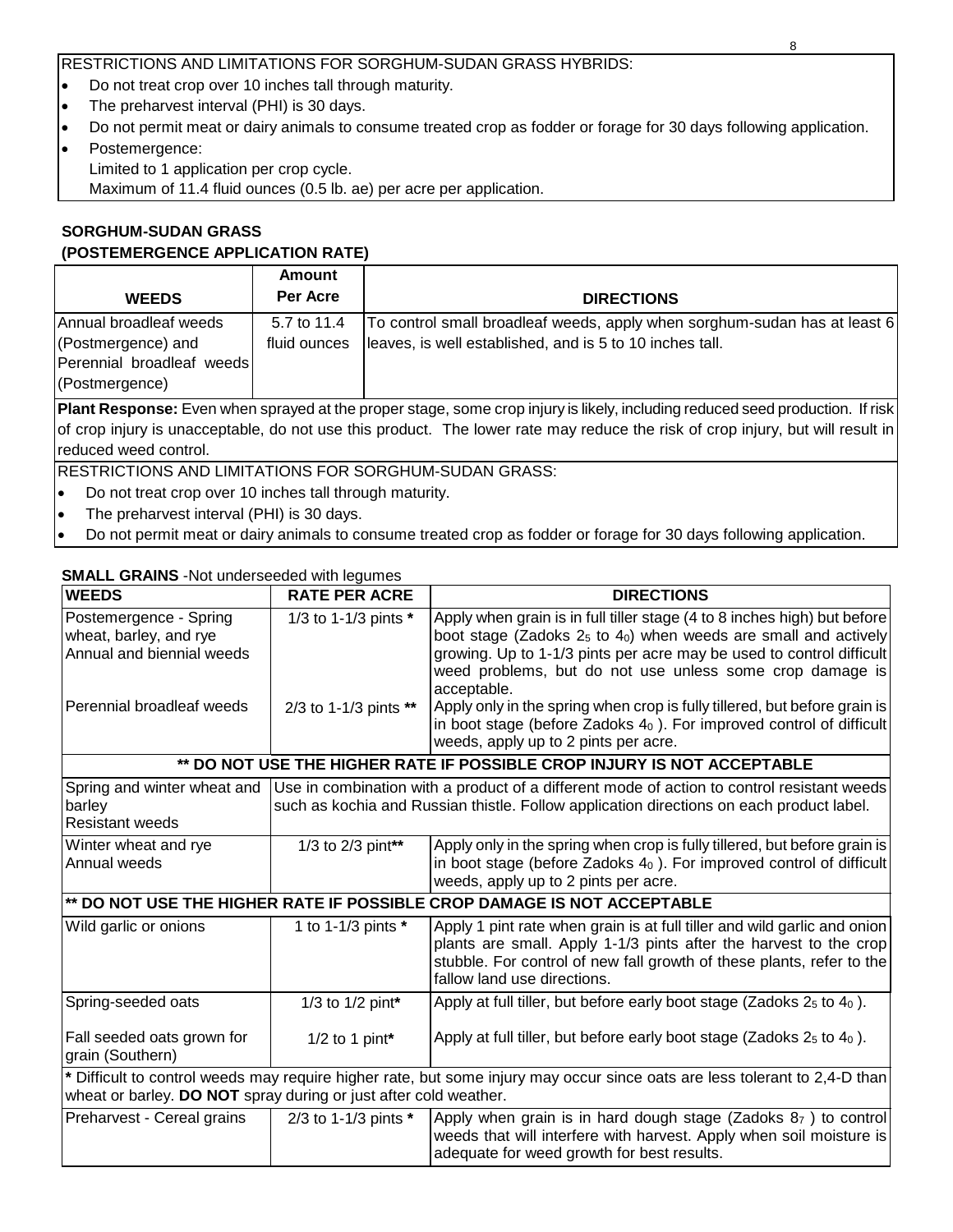RESTRICTIONS AND LIMITATIONS FOR SORGHUM-SUDAN GRASS HYBRIDS:

- Do not treat crop over 10 inches tall through maturity.
- The preharvest interval (PHI) is 30 days.
- Do not permit meat or dairy animals to consume treated crop as fodder or forage for 30 days following application.
- Postemergence: Limited to 1 application per crop cycle. Maximum of 11.4 fluid ounces (0.5 lb. ae) per acre per application.

## **SORGHUM-SUDAN GRASS (POSTEMERGENCE APPLICATION RATE)**

|                                                                                             | <b>Amount</b>               |                                                                                                                                       |
|---------------------------------------------------------------------------------------------|-----------------------------|---------------------------------------------------------------------------------------------------------------------------------------|
| <b>WEEDS</b>                                                                                | Per Acre                    | <b>DIRECTIONS</b>                                                                                                                     |
| Annual broadleaf weeds<br>(Postmergence) and<br>Perennial broadleaf weeds<br>(Postmergence) | 5.7 to 11.4<br>fluid ounces | To control small broadleaf weeds, apply when sorghum-sudan has at least 6<br>leaves, is well established, and is 5 to 10 inches tall. |
|                                                                                             |                             | Plant Response: Even when sprayed at the proper stage, some crop injury is likely, including reduced seed production. If risk         |
|                                                                                             |                             |                                                                                                                                       |

of crop injury is unacceptable, do not use this product. The lower rate may reduce the risk of crop injury, but will result in reduced weed control.

RESTRICTIONS AND LIMITATIONS FOR SORGHUM-SUDAN GRASS:

- Do not treat crop over 10 inches tall through maturity.
- The preharvest interval (PHI) is 30 days.
- Do not permit meat or dairy animals to consume treated crop as fodder or forage for 30 days following application.

## **SMALL GRAINS** -Not underseeded with legumes

| <b>WEEDS</b>                                                                                               | <b>RATE PER ACRE</b>   | <b>DIRECTIONS</b>                                                                                                                                                                                                                                                                                                                                                               |
|------------------------------------------------------------------------------------------------------------|------------------------|---------------------------------------------------------------------------------------------------------------------------------------------------------------------------------------------------------------------------------------------------------------------------------------------------------------------------------------------------------------------------------|
| Postemergence - Spring<br>wheat, barley, and rye<br>Annual and biennial weeds<br>Perennial broadleaf weeds | 1/3 to 1-1/3 pints *   | Apply when grain is in full tiller stage (4 to 8 inches high) but before<br>boot stage (Zadoks $25$ to $40$ ) when weeds are small and actively<br>growing. Up to 1-1/3 pints per acre may be used to control difficult<br>weed problems, but do not use unless some crop damage is<br>acceptable.<br>Apply only in the spring when crop is fully tillered, but before grain is |
|                                                                                                            | 2/3 to 1-1/3 pints **  | in boot stage (before Zadoks $40$ ). For improved control of difficult<br>weeds, apply up to 2 pints per acre.                                                                                                                                                                                                                                                                  |
|                                                                                                            |                        | ** DO NOT USE THE HIGHER RATE IF POSSIBLE CROP INJURY IS NOT ACCEPTABLE                                                                                                                                                                                                                                                                                                         |
| Spring and winter wheat and<br>barley<br><b>Resistant weeds</b>                                            |                        | Use in combination with a product of a different mode of action to control resistant weeds<br>such as kochia and Russian thistle. Follow application directions on each product label.                                                                                                                                                                                          |
| Winter wheat and rye<br>Annual weeds                                                                       | 1/3 to 2/3 pint**      | Apply only in the spring when crop is fully tillered, but before grain is<br>in boot stage (before Zadoks 40). For improved control of difficult<br>weeds, apply up to 2 pints per acre.                                                                                                                                                                                        |
|                                                                                                            |                        | ** DO NOT USE THE HIGHER RATE IF POSSIBLE CROP DAMAGE IS NOT ACCEPTABLE                                                                                                                                                                                                                                                                                                         |
| Wild garlic or onions                                                                                      | 1 to 1-1/3 pints $*$   | Apply 1 pint rate when grain is at full tiller and wild garlic and onion<br>plants are small. Apply 1-1/3 pints after the harvest to the crop<br>stubble. For control of new fall growth of these plants, refer to the<br>fallow land use directions.                                                                                                                           |
| Spring-seeded oats                                                                                         | 1/3 to 1/2 pint*       | Apply at full tiller, but before early boot stage (Zadoks $25$ to $40$ ).                                                                                                                                                                                                                                                                                                       |
| Fall seeded oats grown for<br>grain (Southern)                                                             | $1/2$ to 1 pint*       | Apply at full tiller, but before early boot stage (Zadoks $25$ to $40$ ).                                                                                                                                                                                                                                                                                                       |
| wheat or barley. DO NOT spray during or just after cold weather.                                           |                        | * Difficult to control weeds may require higher rate, but some injury may occur since oats are less tolerant to 2,4-D than                                                                                                                                                                                                                                                      |
| Preharvest - Cereal grains                                                                                 | 2/3 to 1-1/3 pints $*$ | Apply when grain is in hard dough stage (Zadoks $87$ ) to control<br>weeds that will interfere with harvest. Apply when soil moisture is<br>adequate for weed growth for best results.                                                                                                                                                                                          |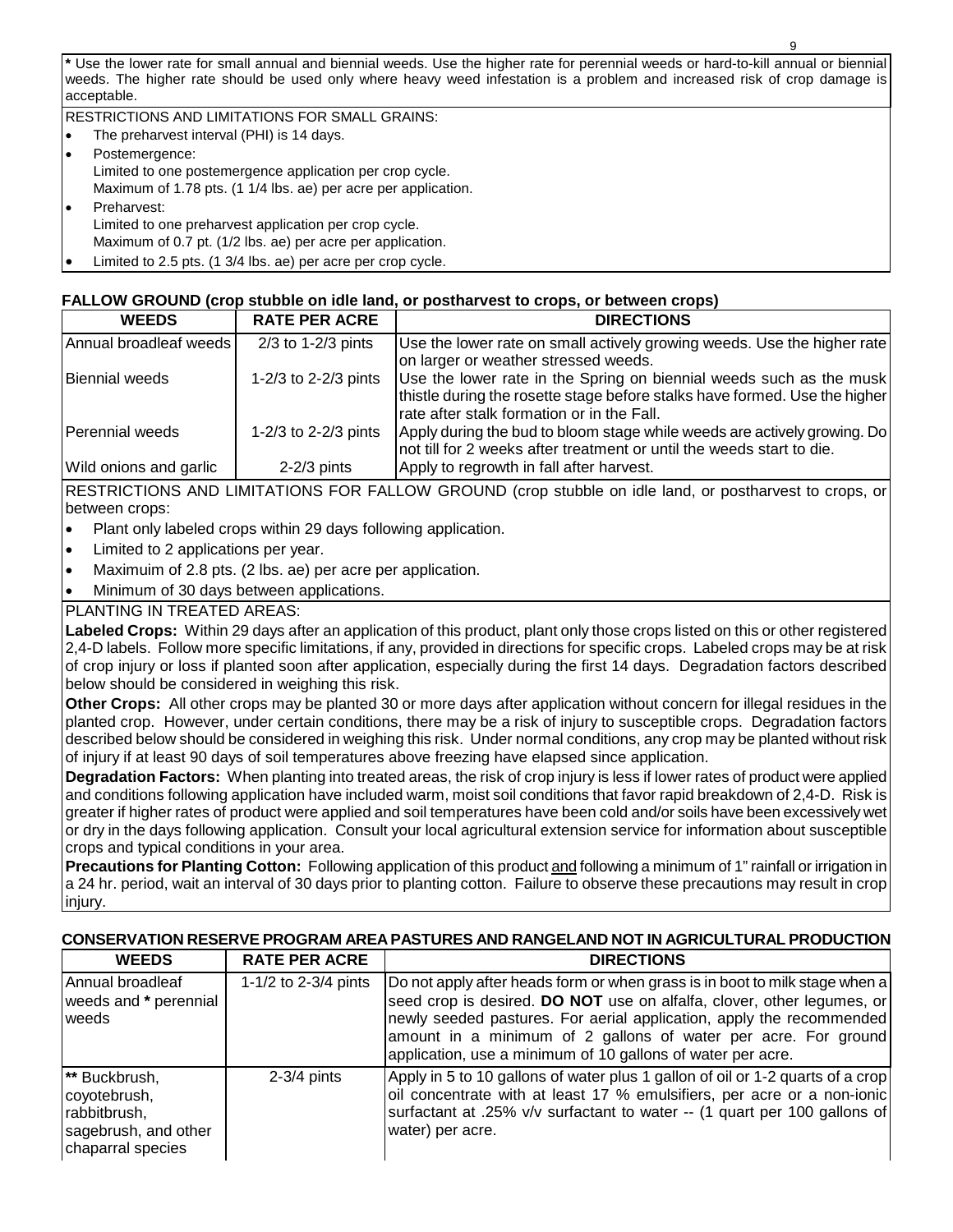**\*** Use the lower rate for small annual and biennial weeds. Use the higher rate for perennial weeds or hard-to-kill annual or biennial weeds. The higher rate should be used only where heavy weed infestation is a problem and increased risk of crop damage is acceptable.

RESTRICTIONS AND LIMITATIONS FOR SMALL GRAINS:

- The preharvest interval (PHI) is 14 days. Postemergence: Limited to one postemergence application per crop cycle. Maximum of 1.78 pts. (1 1/4 lbs. ae) per acre per application. • Preharvest: Limited to one preharvest application per crop cycle.
- Maximum of 0.7 pt. (1/2 lbs. ae) per acre per application.
- Limited to 2.5 pts. (1 3/4 lbs. ae) per acre per crop cycle.

## **FALLOW GROUND (crop stubble on idle land, or postharvest to crops, or between crops)**

| <b>WEEDS</b>           | <b>RATE PER ACRE</b> | <b>DIRECTIONS</b>                                                                                                                                                                               |
|------------------------|----------------------|-------------------------------------------------------------------------------------------------------------------------------------------------------------------------------------------------|
| Annual broadleaf weeds | $2/3$ to 1-2/3 pints | Use the lower rate on small actively growing weeds. Use the higher rate<br>on larger or weather stressed weeds.                                                                                 |
| <b>Biennial weeds</b>  | 1-2/3 to 2-2/3 pints | Use the lower rate in the Spring on biennial weeds such as the musk<br>thistle during the rosette stage before stalks have formed. Use the higher<br>rate after stalk formation or in the Fall. |
| Perennial weeds        | 1-2/3 to 2-2/3 pints | Apply during the bud to bloom stage while weeds are actively growing. Do<br>not till for 2 weeks after treatment or until the weeds start to die.                                               |
| Wild onions and garlic | $2-2/3$ pints        | Apply to regrowth in fall after harvest.                                                                                                                                                        |

RESTRICTIONS AND LIMITATIONS FOR FALLOW GROUND (crop stubble on idle land, or postharvest to crops, or between crops:

- Plant only labeled crops within 29 days following application.
- Limited to 2 applications per year.
- Maximuim of 2.8 pts. (2 lbs. ae) per acre per application.
- Minimum of 30 days between applications.

PLANTING IN TREATED AREAS:

**Labeled Crops:** Within 29 days after an application of this product, plant only those crops listed on this or other registered 2,4-D labels. Follow more specific limitations, if any, provided in directions for specific crops. Labeled crops may be at risk of crop injury or loss if planted soon after application, especially during the first 14 days. Degradation factors described below should be considered in weighing this risk.

**Other Crops:** All other crops may be planted 30 or more days after application without concern for illegal residues in the planted crop. However, under certain conditions, there may be a risk of injury to susceptible crops. Degradation factors described below should be considered in weighing this risk. Under normal conditions, any crop may be planted without risk of injury if at least 90 days of soil temperatures above freezing have elapsed since application.

**Degradation Factors:** When planting into treated areas, the risk of crop injury is less if lower rates of product were applied and conditions following application have included warm, moist soil conditions that favor rapid breakdown of 2,4-D. Risk is greater if higher rates of product were applied and soil temperatures have been cold and/or soils have been excessively wet or dry in the days following application. Consult your local agricultural extension service for information about susceptible crops and typical conditions in your area.

**Precautions for Planting Cotton:** Following application of this product and following a minimum of 1" rainfall or irrigation in a 24 hr. period, wait an interval of 30 days prior to planting cotton. Failure to observe these precautions may result in crop injury.

## **CONSERVATION RESERVE PROGRAM AREA PASTURES AND RANGELAND NOT IN AGRICULTURAL PRODUCTION**

| <b>WEEDS</b>                                                                               | <b>RATE PER ACRE</b> | <b>DIRECTIONS</b>                                                                                                                                                                                                                                                                                                                                              |
|--------------------------------------------------------------------------------------------|----------------------|----------------------------------------------------------------------------------------------------------------------------------------------------------------------------------------------------------------------------------------------------------------------------------------------------------------------------------------------------------------|
| Annual broadleaf<br>weeds and * perennial<br>weeds                                         | 1-1/2 to 2-3/4 pints | Do not apply after heads form or when grass is in boot to milk stage when a<br>seed crop is desired. DO NOT use on alfalfa, clover, other legumes, or<br>newly seeded pastures. For aerial application, apply the recommended<br>amount in a minimum of 2 gallons of water per acre. For ground<br>application, use a minimum of 10 gallons of water per acre. |
| ** Buckbrush,<br>coyotebrush,<br>rabbitbrush,<br>sagebrush, and other<br>chaparral species | $2-3/4$ pints        | Apply in 5 to 10 gallons of water plus 1 gallon of oil or 1-2 quarts of a crop<br>oil concentrate with at least 17 % emulsifiers, per acre or a non-ionic<br>surfactant at .25% v/v surfactant to water -- (1 quart per 100 gallons of<br>water) per acre.                                                                                                     |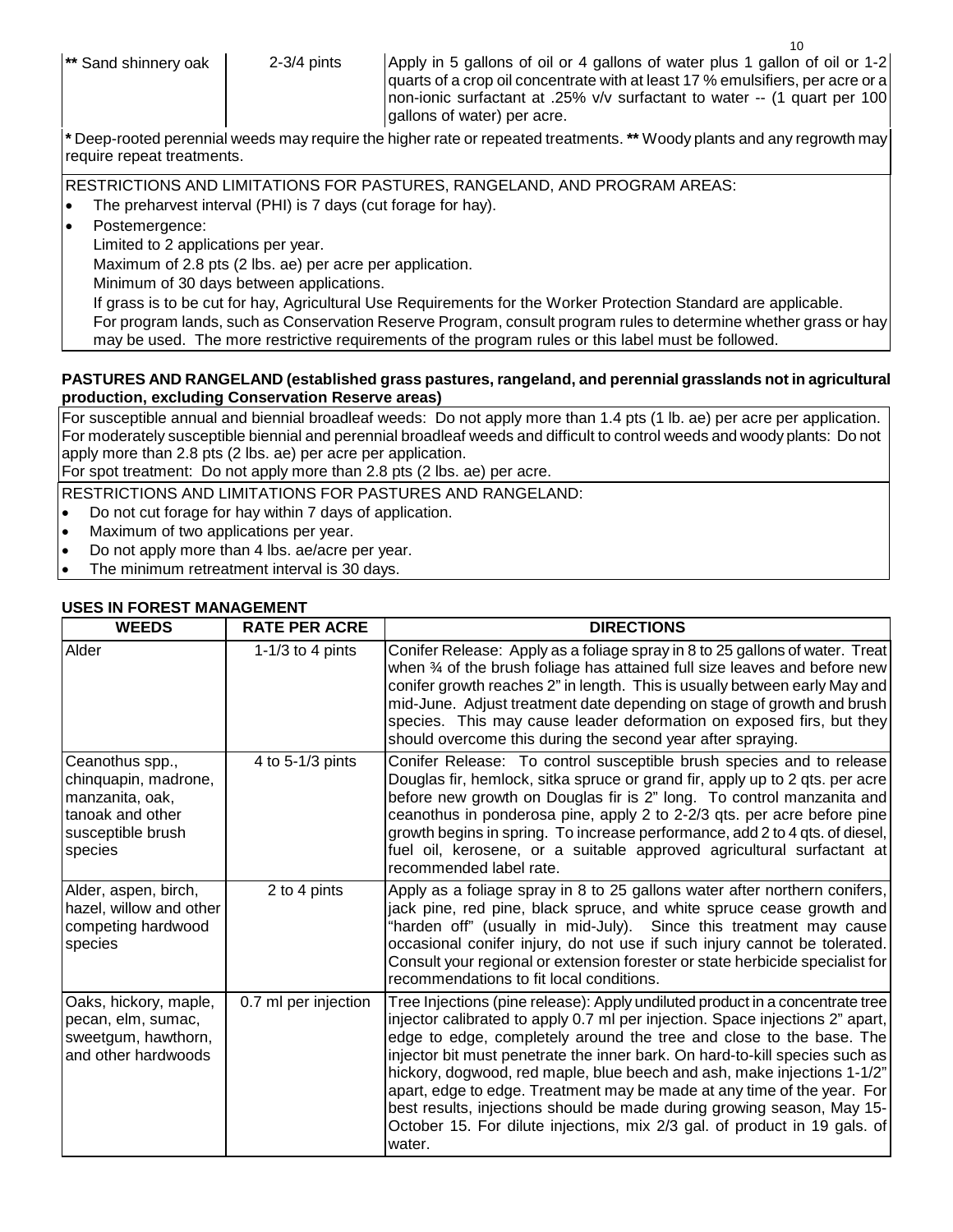**\*** Deep-rooted perennial weeds may require the higher rate or repeated treatments. **\*\*** Woody plants and any regrowth may require repeat treatments.

RESTRICTIONS AND LIMITATIONS FOR PASTURES, RANGELAND, AND PROGRAM AREAS:

• The preharvest interval (PHI) is 7 days (cut forage for hay).

Postemergence:

Limited to 2 applications per year.

Maximum of 2.8 pts (2 lbs. ae) per acre per application.

Minimum of 30 days between applications.

If grass is to be cut for hay, Agricultural Use Requirements for the Worker Protection Standard are applicable.

For program lands, such as Conservation Reserve Program, consult program rules to determine whether grass or hay may be used. The more restrictive requirements of the program rules or this label must be followed.

## **PASTURES AND RANGELAND (established grass pastures, rangeland, and perennial grasslands not in agricultural production, excluding Conservation Reserve areas)**

For susceptible annual and biennial broadleaf weeds: Do not apply more than 1.4 pts (1 lb. ae) per acre per application. For moderately susceptible biennial and perennial broadleaf weeds and difficult to control weeds and woody plants: Do not apply more than 2.8 pts (2 lbs. ae) per acre per application.

For spot treatment: Do not apply more than 2.8 pts (2 lbs. ae) per acre.

RESTRICTIONS AND LIMITATIONS FOR PASTURES AND RANGELAND:

- Do not cut forage for hay within 7 days of application.
- Maximum of two applications per year.
- Do not apply more than 4 lbs. ae/acre per year.
- The minimum retreatment interval is 30 days.

## **USES IN FOREST MANAGEMENT**

| <b>WEEDS</b>                                                                                                   | <b>RATE PER ACRE</b> | <b>DIRECTIONS</b>                                                                                                                                                                                                                                                                                                                                                                                                                                                                                                                                                                                                                           |
|----------------------------------------------------------------------------------------------------------------|----------------------|---------------------------------------------------------------------------------------------------------------------------------------------------------------------------------------------------------------------------------------------------------------------------------------------------------------------------------------------------------------------------------------------------------------------------------------------------------------------------------------------------------------------------------------------------------------------------------------------------------------------------------------------|
| Alder                                                                                                          | 1-1/3 to 4 pints     | Conifer Release: Apply as a foliage spray in 8 to 25 gallons of water. Treat<br>when 34 of the brush foliage has attained full size leaves and before new<br>conifer growth reaches 2" in length. This is usually between early May and<br>mid-June. Adjust treatment date depending on stage of growth and brush<br>species. This may cause leader deformation on exposed firs, but they<br>should overcome this during the second year after spraying.                                                                                                                                                                                    |
| Ceanothus spp.,<br>chinquapin, madrone,<br>manzanita, oak,<br>tanoak and other<br>susceptible brush<br>species | 4 to 5-1/3 pints     | Conifer Release: To control susceptible brush species and to release<br>Douglas fir, hemlock, sitka spruce or grand fir, apply up to 2 qts. per acre<br>before new growth on Douglas fir is 2" long. To control manzanita and<br>ceanothus in ponderosa pine, apply 2 to 2-2/3 qts. per acre before pine<br>growth begins in spring. To increase performance, add 2 to 4 qts. of diesel,<br>fuel oil, kerosene, or a suitable approved agricultural surfactant at<br>recommended label rate.                                                                                                                                                |
| Alder, aspen, birch,<br>hazel, willow and other<br>competing hardwood<br>species                               | 2 to 4 pints         | Apply as a foliage spray in 8 to 25 gallons water after northern conifers,<br>jack pine, red pine, black spruce, and white spruce cease growth and<br>"harden off" (usually in mid-July). Since this treatment may cause<br>occasional conifer injury, do not use if such injury cannot be tolerated.<br>Consult your regional or extension forester or state herbicide specialist for<br>recommendations to fit local conditions.                                                                                                                                                                                                          |
| Oaks, hickory, maple,<br>pecan, elm, sumac,<br>sweetgum, hawthorn,<br>and other hardwoods                      | 0.7 ml per injection | Tree Injections (pine release): Apply undiluted product in a concentrate tree<br>injector calibrated to apply 0.7 ml per injection. Space injections 2" apart,<br>edge to edge, completely around the tree and close to the base. The<br>injector bit must penetrate the inner bark. On hard-to-kill species such as<br>hickory, dogwood, red maple, blue beech and ash, make injections 1-1/2"<br>apart, edge to edge. Treatment may be made at any time of the year. For<br>best results, injections should be made during growing season, May 15-<br>October 15. For dilute injections, mix 2/3 gal. of product in 19 gals. of<br>water. |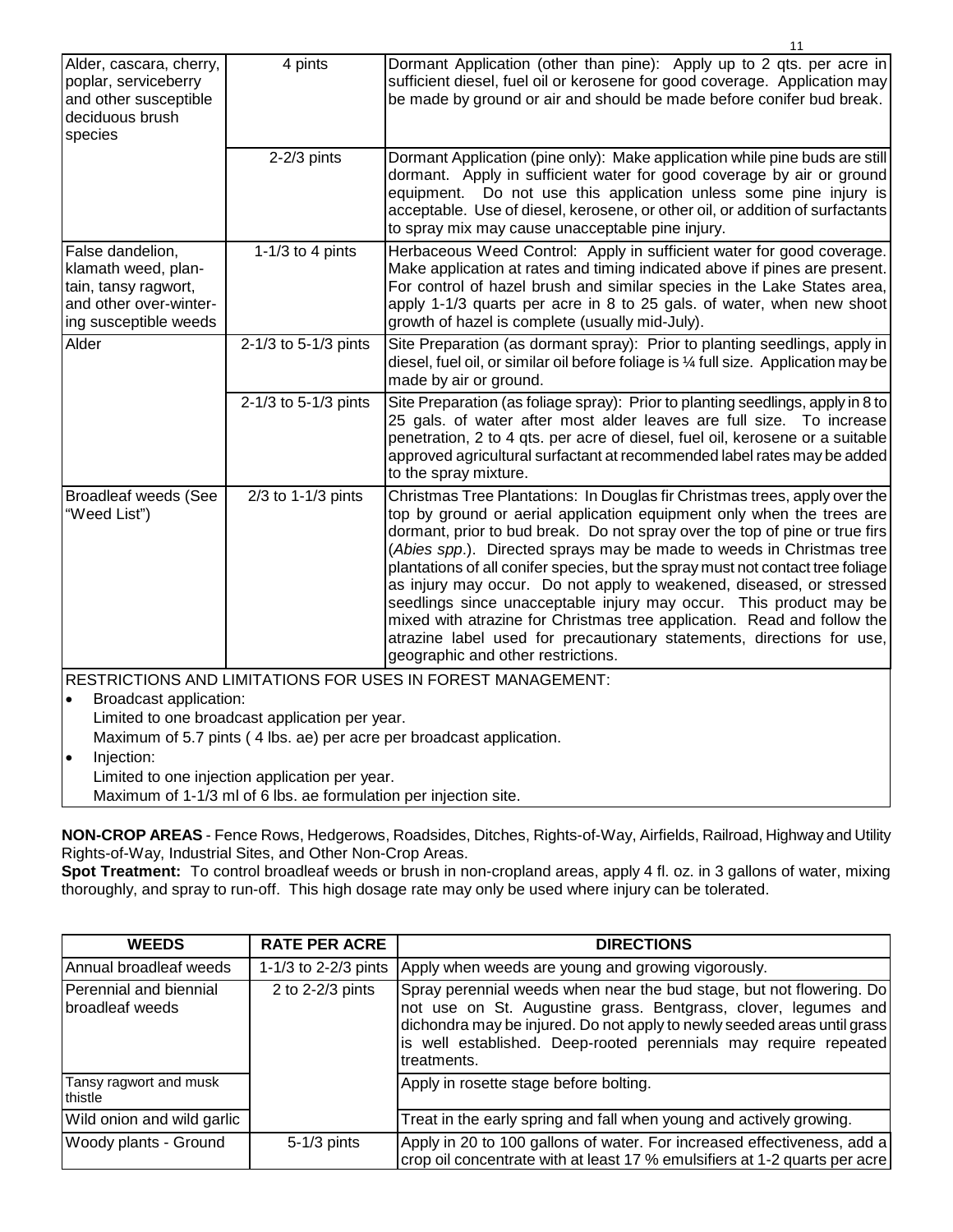|                                                                                                                    |                                                | 11                                                                                                                                                                                                                                                                                                                                                                                                                                                                                                                                                                                                                                                                                                                                    |  |
|--------------------------------------------------------------------------------------------------------------------|------------------------------------------------|---------------------------------------------------------------------------------------------------------------------------------------------------------------------------------------------------------------------------------------------------------------------------------------------------------------------------------------------------------------------------------------------------------------------------------------------------------------------------------------------------------------------------------------------------------------------------------------------------------------------------------------------------------------------------------------------------------------------------------------|--|
| Alder, cascara, cherry,<br>poplar, serviceberry<br>and other susceptible<br>deciduous brush<br>species             | 4 pints                                        | Dormant Application (other than pine): Apply up to 2 qts. per acre in<br>sufficient diesel, fuel oil or kerosene for good coverage. Application may<br>be made by ground or air and should be made before conifer bud break.                                                                                                                                                                                                                                                                                                                                                                                                                                                                                                          |  |
|                                                                                                                    | $2-2/3$ pints                                  | Dormant Application (pine only): Make application while pine buds are still<br>dormant. Apply in sufficient water for good coverage by air or ground<br>equipment. Do not use this application unless some pine injury is<br>acceptable. Use of diesel, kerosene, or other oil, or addition of surfactants<br>to spray mix may cause unacceptable pine injury.                                                                                                                                                                                                                                                                                                                                                                        |  |
| False dandelion,<br>klamath weed, plan-<br>tain, tansy ragwort,<br>and other over-winter-<br>ing susceptible weeds | 1-1/3 to 4 pints                               | Herbaceous Weed Control: Apply in sufficient water for good coverage.<br>Make application at rates and timing indicated above if pines are present.<br>For control of hazel brush and similar species in the Lake States area,<br>apply 1-1/3 quarts per acre in 8 to 25 gals. of water, when new shoot<br>growth of hazel is complete (usually mid-July).                                                                                                                                                                                                                                                                                                                                                                            |  |
| Alder                                                                                                              | 2-1/3 to 5-1/3 pints                           | Site Preparation (as dormant spray): Prior to planting seedlings, apply in<br>diesel, fuel oil, or similar oil before foliage is 1/4 full size. Application may be<br>made by air or ground.                                                                                                                                                                                                                                                                                                                                                                                                                                                                                                                                          |  |
|                                                                                                                    | 2-1/3 to 5-1/3 pints                           | Site Preparation (as foliage spray): Prior to planting seedlings, apply in 8 to<br>25 gals. of water after most alder leaves are full size. To increase<br>penetration, 2 to 4 qts. per acre of diesel, fuel oil, kerosene or a suitable<br>approved agricultural surfactant at recommended label rates may be added<br>to the spray mixture.                                                                                                                                                                                                                                                                                                                                                                                         |  |
| <b>Broadleaf weeds (See</b><br>"Weed List")                                                                        | 2/3 to 1-1/3 pints                             | Christmas Tree Plantations: In Douglas fir Christmas trees, apply over the<br>top by ground or aerial application equipment only when the trees are<br>dormant, prior to bud break. Do not spray over the top of pine or true firs<br>(Abies spp.). Directed sprays may be made to weeds in Christmas tree<br>plantations of all conifer species, but the spray must not contact tree foliage<br>as injury may occur. Do not apply to weakened, diseased, or stressed<br>seedlings since unacceptable injury may occur. This product may be<br>mixed with atrazine for Christmas tree application. Read and follow the<br>atrazine label used for precautionary statements, directions for use,<br>geographic and other restrictions. |  |
|                                                                                                                    |                                                | RESTRICTIONS AND LIMITATIONS FOR USES IN FOREST MANAGEMENT:                                                                                                                                                                                                                                                                                                                                                                                                                                                                                                                                                                                                                                                                           |  |
| Broadcast application:<br>$\bullet$                                                                                |                                                |                                                                                                                                                                                                                                                                                                                                                                                                                                                                                                                                                                                                                                                                                                                                       |  |
|                                                                                                                    | Limited to one broadcast application per year. |                                                                                                                                                                                                                                                                                                                                                                                                                                                                                                                                                                                                                                                                                                                                       |  |
| Maximum of 5.7 pints (4 lbs. ae) per acre per broadcast application.                                               |                                                |                                                                                                                                                                                                                                                                                                                                                                                                                                                                                                                                                                                                                                                                                                                                       |  |
| $\bullet$                                                                                                          | Injection:                                     |                                                                                                                                                                                                                                                                                                                                                                                                                                                                                                                                                                                                                                                                                                                                       |  |
| Limited to one injection application per year.                                                                     |                                                |                                                                                                                                                                                                                                                                                                                                                                                                                                                                                                                                                                                                                                                                                                                                       |  |
| Maximum of 1-1/3 ml of 6 lbs. ae formulation per injection site.                                                   |                                                |                                                                                                                                                                                                                                                                                                                                                                                                                                                                                                                                                                                                                                                                                                                                       |  |

**NON-CROP AREAS** - Fence Rows, Hedgerows, Roadsides, Ditches, Rights-of-Way, Airfields, Railroad, Highway and Utility Rights-of-Way, Industrial Sites, and Other Non-Crop Areas.

**Spot Treatment:** To control broadleaf weeds or brush in non-cropland areas, apply 4 fl. oz. in 3 gallons of water, mixing thoroughly, and spray to run-off. This high dosage rate may only be used where injury can be tolerated.

| <b>WEEDS</b>                              | <b>RATE PER ACRE</b> | <b>DIRECTIONS</b>                                                                                                                                                                                                                                                                                     |
|-------------------------------------------|----------------------|-------------------------------------------------------------------------------------------------------------------------------------------------------------------------------------------------------------------------------------------------------------------------------------------------------|
| Annual broadleaf weeds                    | 1-1/3 to 2-2/3 pints | Apply when weeds are young and growing vigorously.                                                                                                                                                                                                                                                    |
| Perennial and biennial<br>broadleaf weeds | 2 to 2-2/3 pints     | Spray perennial weeds when near the bud stage, but not flowering. Do<br>not use on St. Augustine grass. Bentgrass, clover, legumes and<br>dichondra may be injured. Do not apply to newly seeded areas until grass<br>is well established. Deep-rooted perennials may require repeated<br>treatments. |
| Tansy ragwort and musk<br>thistle         |                      | Apply in rosette stage before bolting.                                                                                                                                                                                                                                                                |
| Wild onion and wild garlic                |                      | Treat in the early spring and fall when young and actively growing.                                                                                                                                                                                                                                   |
| Woody plants - Ground                     | $5-1/3$ pints        | Apply in 20 to 100 gallons of water. For increased effectiveness, add a<br>crop oil concentrate with at least 17 % emulsifiers at 1-2 quarts per acre                                                                                                                                                 |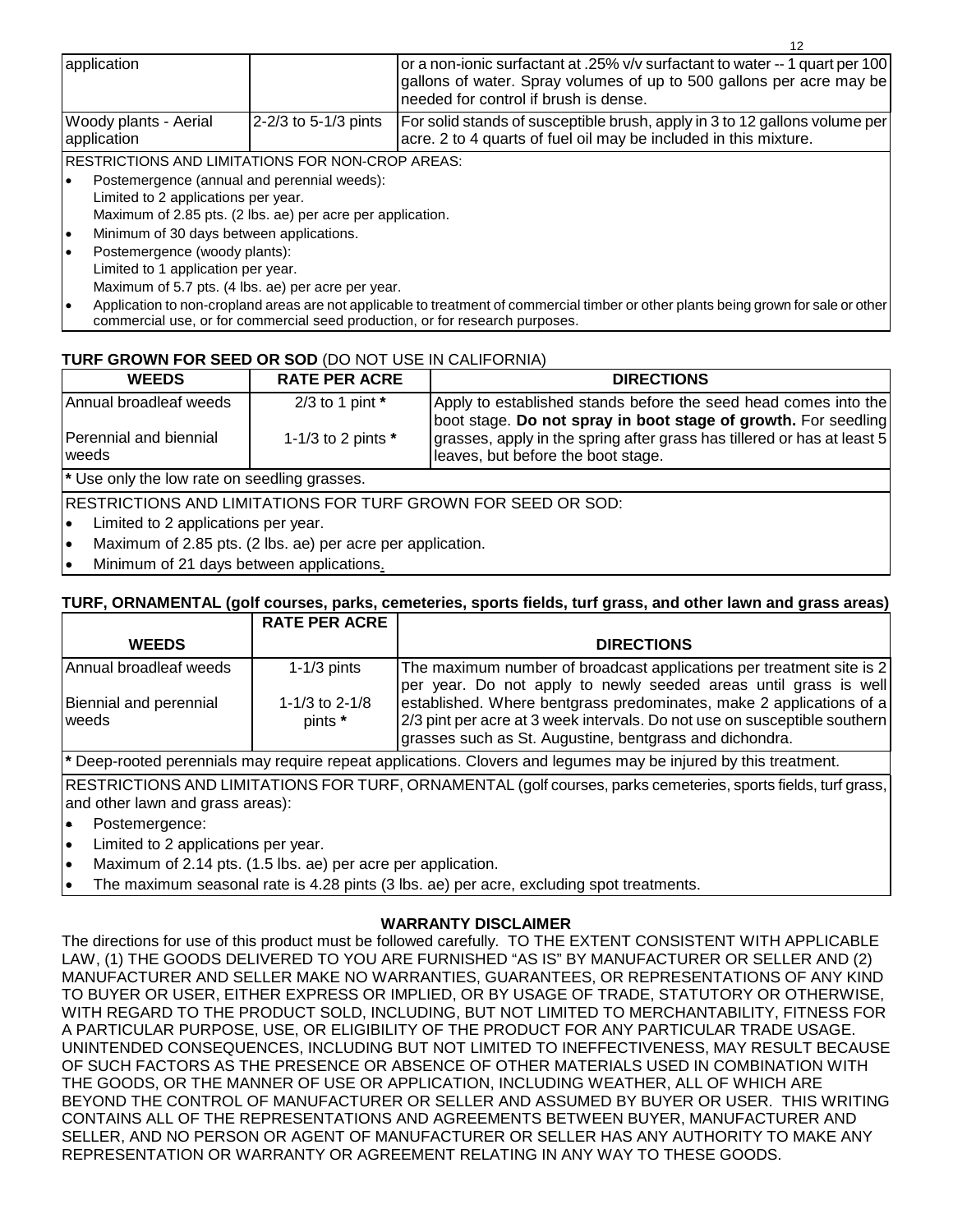| application                                                |                               | or a non-ionic surfactant at .25% v/v surfactant to water -- 1 quart per 100<br>gallons of water. Spray volumes of up to 500 gallons per acre may be<br>needed for control if brush is dense. |  |  |  |
|------------------------------------------------------------|-------------------------------|-----------------------------------------------------------------------------------------------------------------------------------------------------------------------------------------------|--|--|--|
| Woody plants - Aerial<br>application                       | 2-2/3 to 5-1/3 pints          | For solid stands of susceptible brush, apply in 3 to 12 gallons volume per<br>acre. 2 to 4 quarts of fuel oil may be included in this mixture.                                                |  |  |  |
| IRESTRICTIONS AND LIMITATIONS FOR NON-CROP AREAS:          |                               |                                                                                                                                                                                               |  |  |  |
| Postemergence (annual and perennial weeds):                |                               |                                                                                                                                                                                               |  |  |  |
| Limited to 2 applications per year.                        |                               |                                                                                                                                                                                               |  |  |  |
| Maximum of 2.85 pts. (2 lbs. ae) per acre per application. |                               |                                                                                                                                                                                               |  |  |  |
| Minimum of 30 days between applications.<br>ı٠             |                               |                                                                                                                                                                                               |  |  |  |
|                                                            | Doctomorganea (woody plante): |                                                                                                                                                                                               |  |  |  |

- Postemergence (woody plants): Limited to 1 application per year. Maximum of 5.7 pts. (4 lbs. ae) per acre per year.
- Application to non-cropland areas are not applicable to treatment of commercial timber or other plants being grown for sale or other commercial use, or for commercial seed production, or for research purposes.

## **TURF GROWN FOR SEED OR SOD** (DO NOT USE IN CALIFORNIA)

| <b>WEEDS</b>                                            | <b>RATE PER ACRE</b> | <b>DIRECTIONS</b>                                                                                                                 |
|---------------------------------------------------------|----------------------|-----------------------------------------------------------------------------------------------------------------------------------|
| Annual broadleaf weeds                                  | 2/3 to 1 pint $*$    | Apply to established stands before the seed head comes into the<br>boot stage. Do not spray in boot stage of growth. For seedling |
| Perennial and biennial<br><b>I</b> weeds                | 1-1/3 to 2 pints $*$ | grasses, apply in the spring after grass has tillered or has at least 5<br>leaves, but before the boot stage.                     |
| <sup>*</sup> Use only the low rate on seedling grasses. |                      |                                                                                                                                   |
|                                                         |                      | <b>RESTRICTIONS AND LIMITATIONS FOR TURF GROWN FOR SEED OR SOD:</b>                                                               |
| Limited to 2 applications ner vear<br>۱.                |                      |                                                                                                                                   |

- Limited to 2 applications per year.
- Maximum of 2.85 pts. (2 lbs. ae) per acre per application.
- Minimum of 21 days between applications.

## **TURF, ORNAMENTAL (golf courses, parks, cemeteries, sports fields, turf grass, and other lawn and grass areas)**

|                                                                                                                     | <b>RATE PER ACRE</b>        |                                                                                                                                                                                                             |  |  |
|---------------------------------------------------------------------------------------------------------------------|-----------------------------|-------------------------------------------------------------------------------------------------------------------------------------------------------------------------------------------------------------|--|--|
| <b>WEEDS</b>                                                                                                        |                             | <b>DIRECTIONS</b>                                                                                                                                                                                           |  |  |
| IAnnual broadleaf weeds                                                                                             | $1-1/3$ pints               | The maximum number of broadcast applications per treatment site is 2<br>per year. Do not apply to newly seeded areas until grass is well                                                                    |  |  |
| Biennial and perennial<br>weeds                                                                                     | 1-1/3 to $2-1/8$<br>pints * | established. Where bentgrass predominates, make 2 applications of a<br>2/3 pint per acre at 3 week intervals. Do not use on susceptible southern<br>grasses such as St. Augustine, bentgrass and dichondra. |  |  |
| It Deen vaatad navanniale vaarivaariva vanaat onnijaatione. Olariane ond leermaan vaarika juirvad kritiin työotmaat |                             |                                                                                                                                                                                                             |  |  |

**\*** Deep-rooted perennials may require repeat applications. Clovers and legumes may be injured by this treatment.

RESTRICTIONS AND LIMITATIONS FOR TURF, ORNAMENTAL (golf courses, parks cemeteries, sports fields, turf grass, and other lawn and grass areas):

- Postemergence:
- Limited to 2 applications per year.
- Maximum of 2.14 pts. (1.5 lbs. ae) per acre per application.
- The maximum seasonal rate is 4.28 pints (3 lbs. ae) per acre, excluding spot treatments.

## **WARRANTY DISCLAIMER**

The directions for use of this product must be followed carefully. TO THE EXTENT CONSISTENT WITH APPLICABLE LAW, (1) THE GOODS DELIVERED TO YOU ARE FURNISHED "AS IS" BY MANUFACTURER OR SELLER AND (2) MANUFACTURER AND SELLER MAKE NO WARRANTIES, GUARANTEES, OR REPRESENTATIONS OF ANY KIND TO BUYER OR USER, EITHER EXPRESS OR IMPLIED, OR BY USAGE OF TRADE, STATUTORY OR OTHERWISE, WITH REGARD TO THE PRODUCT SOLD, INCLUDING, BUT NOT LIMITED TO MERCHANTABILITY, FITNESS FOR A PARTICULAR PURPOSE, USE, OR ELIGIBILITY OF THE PRODUCT FOR ANY PARTICULAR TRADE USAGE. UNINTENDED CONSEQUENCES, INCLUDING BUT NOT LIMITED TO INEFFECTIVENESS, MAY RESULT BECAUSE OF SUCH FACTORS AS THE PRESENCE OR ABSENCE OF OTHER MATERIALS USED IN COMBINATION WITH THE GOODS, OR THE MANNER OF USE OR APPLICATION, INCLUDING WEATHER, ALL OF WHICH ARE BEYOND THE CONTROL OF MANUFACTURER OR SELLER AND ASSUMED BY BUYER OR USER. THIS WRITING CONTAINS ALL OF THE REPRESENTATIONS AND AGREEMENTS BETWEEN BUYER, MANUFACTURER AND SELLER, AND NO PERSON OR AGENT OF MANUFACTURER OR SELLER HAS ANY AUTHORITY TO MAKE ANY REPRESENTATION OR WARRANTY OR AGREEMENT RELATING IN ANY WAY TO THESE GOODS.